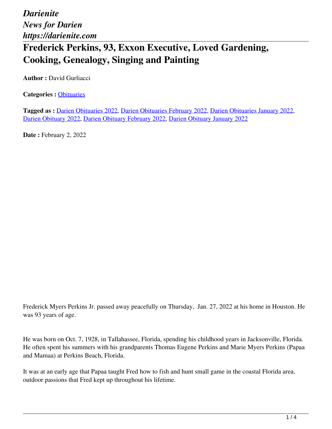## **Frederick Perkins, 93, Exxon Executive, Loved Gardening, Cooking, Genealogy, Singing and Painting**

**Author :** David Gurliacci

**Categories :** [Obituaries](https://darienite.com/category/obituaries)

**Tagged as :** Darien Obituaries 2022, Darien Obituaries February 2022, Darien Obituaries January 2022, Darien Obituary 2022, Darien Obituary February 2022, Darien Obituary January 2022

**Date : February 2, 2022** 

Frederick Myers Perkins Jr. passed away peacefully on Thursday, Jan. 27, 2022 at his home in Houston. He was 93 years of age.

He was born on Oct. 7, 1928, in Tallahassee, Florida, spending his childhood years in Jacksonville, Florida. He often spent his summers with his grandparents Thomas Eugene Perkins and Marie Myers Perkins (Papaa and Mamaa) at Perkins Beach, Florida.

It was at an early age that Papaa taught Fred how to fish and hunt small game in the coastal Florida area, outdoor passions that Fred kept up throughout his lifetime.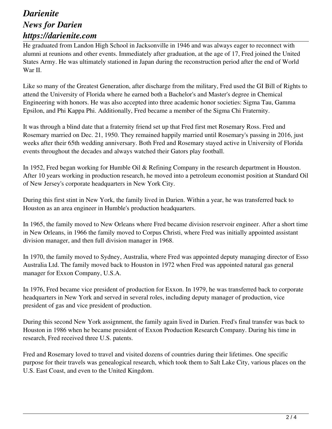He graduated from Landon High School in Jacksonville in 1946 and was always eager to reconnect with alumni at reunions and other events. Immediately after graduation, at the age of 17, Fred joined the United States Army. He was ultimately stationed in Japan during the reconstruction period after the end of World War II.

Like so many of the Greatest Generation, after discharge from the military, Fred used the GI Bill of Rights to attend the University of Florida where he earned both a Bachelor's and Master's degree in Chemical Engineering with honors. He was also accepted into three academic honor societies: Sigma Tau, Gamma Epsilon, and Phi Kappa Phi. Additionally, Fred became a member of the Sigma Chi Fraternity.

It was through a blind date that a fraternity friend set up that Fred first met Rosemary Ross. Fred and Rosemary married on Dec. 21, 1950. They remained happily married until Rosemary's passing in 2016, just weeks after their 65th wedding anniversary. Both Fred and Rosemary stayed active in University of Florida events throughout the decades and always watched their Gators play football.

In 1952, Fred began working for Humble Oil & Refining Company in the research department in Houston. After 10 years working in production research, he moved into a petroleum economist position at Standard Oil of New Jersey's corporate headquarters in New York City.

During this first stint in New York, the family lived in Darien. Within a year, he was transferred back to Houston as an area engineer in Humble's production headquarters.

In 1965, the family moved to New Orleans where Fred became division reservoir engineer. After a short time in New Orleans, in 1966 the family moved to Corpus Christi, where Fred was initially appointed assistant division manager, and then full division manager in 1968.

In 1970, the family moved to Sydney, Australia, where Fred was appointed deputy managing director of Esso Australia Ltd. The family moved back to Houston in 1972 when Fred was appointed natural gas general manager for Exxon Company, U.S.A.

In 1976, Fred became vice president of production for Exxon. In 1979, he was transferred back to corporate headquarters in New York and served in several roles, including deputy manager of production, vice president of gas and vice president of production.

During this second New York assignment, the family again lived in Darien. Fred's final transfer was back to Houston in 1986 when he became president of Exxon Production Research Company. During his time in research, Fred received three U.S. patents.

Fred and Rosemary loved to travel and visited dozens of countries during their lifetimes. One specific purpose for their travels was genealogical research, which took them to Salt Lake City, various places on the U.S. East Coast, and even to the United Kingdom.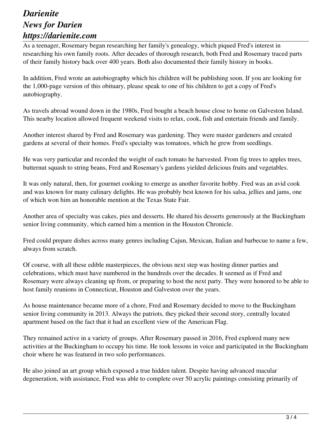As a teenager, Rosemary began researching her family's genealogy, which piqued Fred's interest in researching his own family roots. After decades of thorough research, both Fred and Rosemary traced parts of their family history back over 400 years. Both also documented their family history in books.

In addition, Fred wrote an autobiography which his children will be publishing soon. If you are looking for the 1,000-page version of this obituary, please speak to one of his children to get a copy of Fred's autobiography.

As travels abroad wound down in the 1980s, Fred bought a beach house close to home on Galveston Island. This nearby location allowed frequent weekend visits to relax, cook, fish and entertain friends and family.

Another interest shared by Fred and Rosemary was gardening. They were master gardeners and created gardens at several of their homes. Fred's specialty was tomatoes, which he grew from seedlings.

He was very particular and recorded the weight of each tomato he harvested. From fig trees to apples trees, butternut squash to string beans, Fred and Rosemary's gardens yielded delicious fruits and vegetables.

It was only natural, then, for gourmet cooking to emerge as another favorite hobby. Fred was an avid cook and was known for many culinary delights. He was probably best known for his salsa, jellies and jams, one of which won him an honorable mention at the Texas State Fair.

Another area of specialty was cakes, pies and desserts. He shared his desserts generously at the Buckingham senior living community, which earned him a mention in the Houston Chronicle.

Fred could prepare dishes across many genres including Cajun, Mexican, Italian and barbecue to name a few, always from scratch.

Of course, with all these edible masterpieces, the obvious next step was hosting dinner parties and celebrations, which must have numbered in the hundreds over the decades. It seemed as if Fred and Rosemary were always cleaning up from, or preparing to host the next party. They were honored to be able to host family reunions in Connecticut, Houston and Galveston over the years.

As house maintenance became more of a chore, Fred and Rosemary decided to move to the Buckingham senior living community in 2013. Always the patriots, they picked their second story, centrally located apartment based on the fact that it had an excellent view of the American Flag.

They remained active in a variety of groups. After Rosemary passed in 2016, Fred explored many new activities at the Buckingham to occupy his time. He took lessons in voice and participated in the Buckingham choir where he was featured in two solo performances.

He also joined an art group which exposed a true hidden talent. Despite having advanced macular degeneration, with assistance, Fred was able to complete over 50 acrylic paintings consisting primarily of